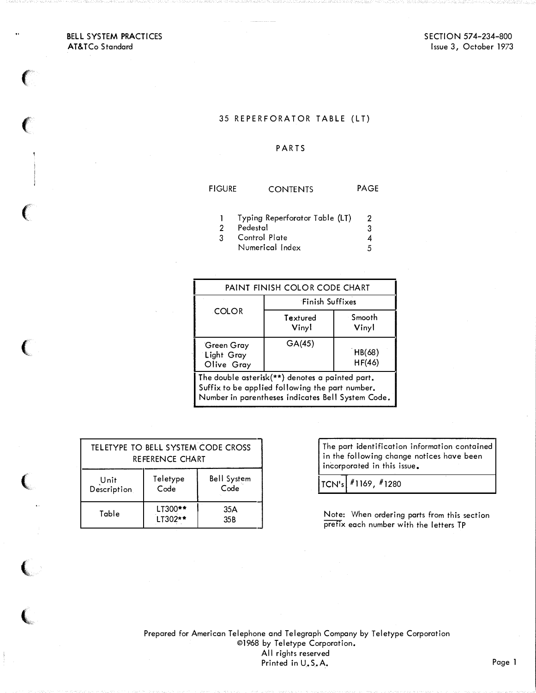## BELL SYSTEM PRACTICES AT&TCo Standard

 $\epsilon$ 

 $\left($ 

(

(

(

,

## 35 REPERFORATOR TABLE (LT)

## **PARTS**

| <b>FIGURE</b> | <b>CONTENTS</b>                | <b>PAGE</b> |
|---------------|--------------------------------|-------------|
|               | Typing Reperforator Table (LT) |             |
|               |                                |             |
|               | Pedestal                       |             |

3 Control Plate  $\overline{\mathbf{4}}$  $\mathbf{3}$ Numerical Index 5

| PAINT FINISH COLOR CODE CHART                                                                                                                           |                   |                  |  |  |  |  |  |
|---------------------------------------------------------------------------------------------------------------------------------------------------------|-------------------|------------------|--|--|--|--|--|
|                                                                                                                                                         | Finish Suffixes   |                  |  |  |  |  |  |
| COLOR                                                                                                                                                   | Textured<br>Vinyl | Smooth<br>Vinyl  |  |  |  |  |  |
| Green Gray<br>Light Gray<br>Olive Gray                                                                                                                  | GA(45)            | HB(68)<br>HF(46) |  |  |  |  |  |
| The double asterisk(**) denotes a painted part.<br>Suffix to be applied following the part number.<br>Number in parentheses indicates Bell System Code. |                   |                  |  |  |  |  |  |

| TELETYPE TO BELL SYSTEM CODE CROSS<br>REFERENCE CHART |                    |                            |  |  |  |  |
|-------------------------------------------------------|--------------------|----------------------------|--|--|--|--|
| Unit<br>Description.                                  | Teletype<br>Code   | <b>Bell System</b><br>Code |  |  |  |  |
| Table                                                 | LT300**<br>LT302** | 35A<br>35 <sub>B</sub>     |  |  |  |  |

The part identification information contained in the following change notices have been incorporated in this issue.

TCN's #1169, #1280

Note: When ordering parts from this section prefix each number with the letters TP

Prepared for American Telephone and Telegraph Company by Teletype Corporation ©1968 by Teletype Corporation. All rights reserved Printed in U.S.A. Page 1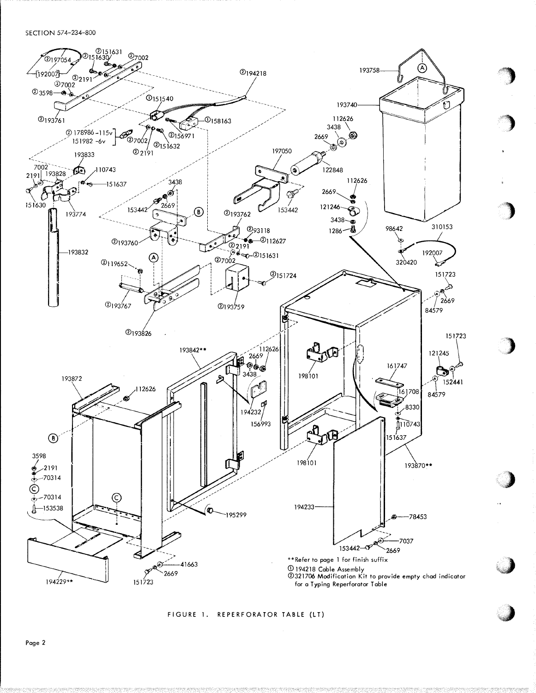SECTION 574-234-800



 $\rightarrow$ 

'')

)

)

.)'� "

¥J

'J

FIGURE 1. REPERFORATOR TABLE (LT)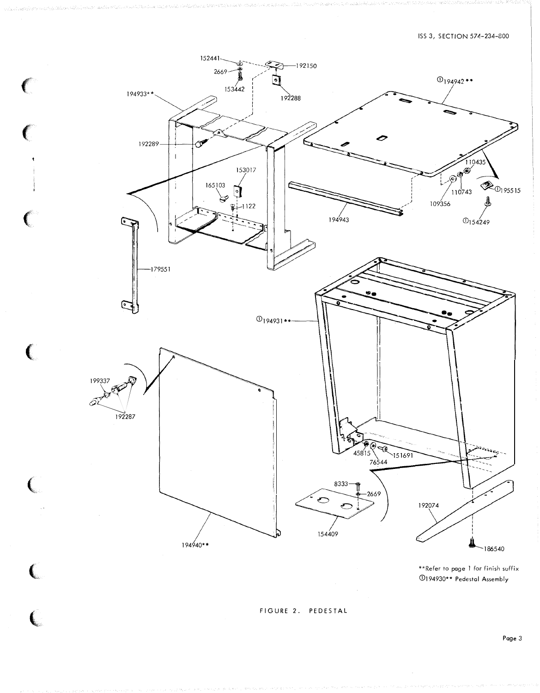

 $\big($ 

 $\overline{(\ }$ 

 $\big($ 

\*\* Refer to page 1 for finish suffix 194930\*\* Pedestal Assembly

FIGURE 2. PEDESTAL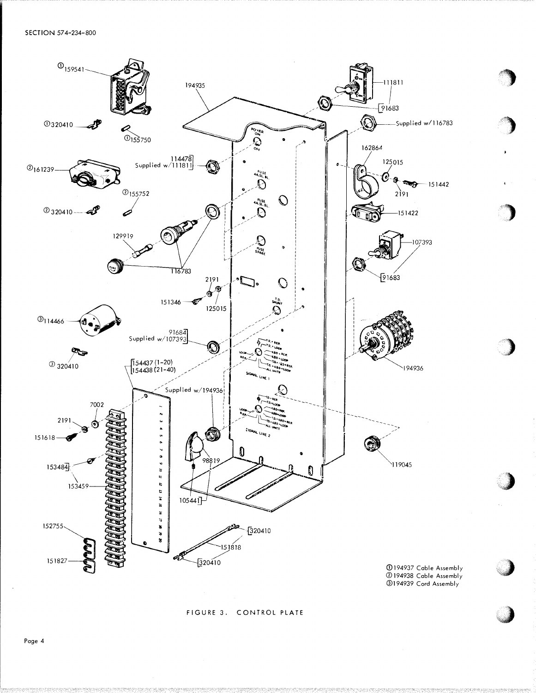

FIGURE 3. CONTROL PLATE